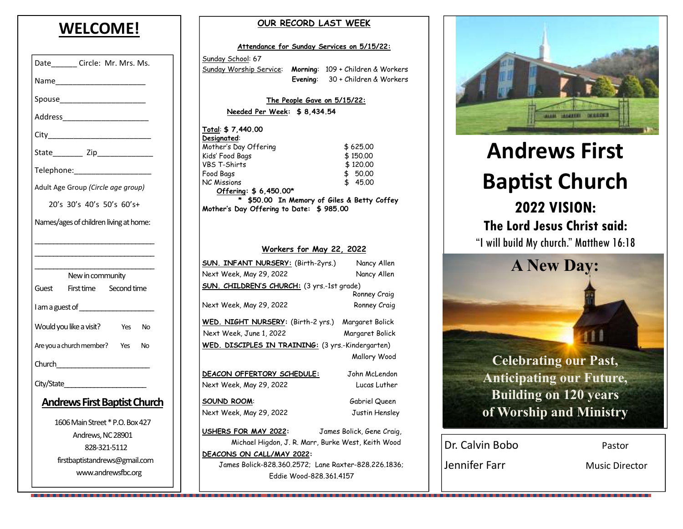# **WELCOME!**

| Date________ Circle: Mr. Mrs. Ms.           |  |  |
|---------------------------------------------|--|--|
|                                             |  |  |
| Spouse_________________________             |  |  |
|                                             |  |  |
|                                             |  |  |
|                                             |  |  |
| Telephone: Telephone:                       |  |  |
| Adult Age Group (Circle age group)          |  |  |
| 20's 30's 40's 50's 60's+                   |  |  |
| Names/ages of children living at home:      |  |  |
|                                             |  |  |
|                                             |  |  |
| New in community                            |  |  |
| Guest First time Second time                |  |  |
| I am a guest of ____________________        |  |  |
| Would you like a visit?<br>Yes<br><b>No</b> |  |  |
| Are you a church member? Yes<br><b>No</b>   |  |  |
|                                             |  |  |
| City/State <b>City</b>                      |  |  |
| <u> Andrews First Baptist Church</u>        |  |  |
| 1606 Main Street * P.O. Box 427             |  |  |
| Andrews, NC 28901                           |  |  |
| 828-321-5112                                |  |  |
| firstbaptistandrews@gmail.com               |  |  |
| www.andrewsfbc.org                          |  |  |

#### **OUR RECORD LAST WEEK**

|                                                           |  | <u>Attendance for Sunday Services on 5/15/22:</u> |  |
|-----------------------------------------------------------|--|---------------------------------------------------|--|
| Sunday School: 67                                         |  |                                                   |  |
| Sunday Worship Service: Morning: 109 + Children & Workers |  |                                                   |  |
|                                                           |  | Evening: 30 + Children & Workers                  |  |
|                                                           |  |                                                   |  |
|                                                           |  | The People Gave on $5/15/22$ :                    |  |
| Needed Per Week: \$8,434.54                               |  |                                                   |  |
| Total: \$7,440.00                                         |  |                                                   |  |
| Designated:                                               |  |                                                   |  |
| Mother's Day Offering                                     |  | \$625,00                                          |  |
| Kids' Food Bags                                           |  | \$150,00                                          |  |
| <b>VBS T-Shirts</b>                                       |  | \$120,00                                          |  |
| Food Bags<br>NC Missions                                  |  | \$ 50.00<br>\$⊺<br>45.00                          |  |
| Offering: \$6,450.00*                                     |  |                                                   |  |
|                                                           |  | \$50.00 In Memory of Giles & Betty Coffey         |  |
| Mother's Day Offering to Date: \$985.00                   |  |                                                   |  |
|                                                           |  |                                                   |  |
|                                                           |  |                                                   |  |
|                                                           |  |                                                   |  |
|                                                           |  | <u> Workers for May 22, 2022</u>                  |  |
| <b>SUN. INFANT NURSERY:</b> (Birth-2yrs.)                 |  | Nancy Allen                                       |  |
| Next Week, May 29, 2022                                   |  | Nancy Allen                                       |  |
| <b>SUN. CHILDREN'S CHURCH:</b> (3 yrs.-1st grade)         |  |                                                   |  |
|                                                           |  | Ronney Craig                                      |  |
| Next Week, May 29, 2022                                   |  | Ronney Craig                                      |  |
| WED. NIGHT NURSERY: (Birth-2 yrs.) Margaret Bolick        |  |                                                   |  |
| Next Week, June 1, 2022                                   |  | Margaret Bolick                                   |  |
|                                                           |  |                                                   |  |
| WED. DISCIPLES IN TRAINING: (3 yrs.-Kindergarten)         |  |                                                   |  |
|                                                           |  | Mallory Wood                                      |  |
| DEACON OFFERTORY SCHEDULE:                                |  | John McLendon                                     |  |
| Next Week, May 29, 2022                                   |  | Lucas Luther                                      |  |
|                                                           |  |                                                   |  |
| <b>SOUND ROOM:</b>                                        |  | Gabriel Queen                                     |  |
| Next Week, May 29, 2022                                   |  | Justin Hensley                                    |  |
| USHERS FOR MAY 2022:                                      |  | James Bolick, Gene Craig,                         |  |
|                                                           |  |                                                   |  |
| Michael Higdon, J. R. Marr, Burke West, Keith Wood        |  |                                                   |  |
| DEACONS ON CALL/MAY 2022:                                 |  |                                                   |  |
| James Bolick-828,360,2572; Lane Raxter-828,226,1836;      |  |                                                   |  |
|                                                           |  | Fddie Wood-828.361.4157                           |  |



# **Andrews First Baptist Church 2022 VISION: The Lord Jesus Christ said:** "I will build My church." Matthew 16:18

**A New Day:** 

**Celebrating our Past, Anticipating our Future, Building on 120 years of Worship and Ministry** 

| Dr. Calvin Bobo | Pastor                |
|-----------------|-----------------------|
| Jennifer Farr   | <b>Music Director</b> |

. . . .